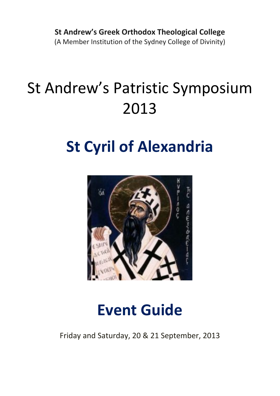**St Andrew's Greek Orthodox Theological College** (A Member Institution of the Sydney College of Divinity)

# St Andrew's Patristic Symposium 2013

# **St Cyril of Alexandria**



# **Event Guide**

Friday and Saturday, 20 & 21 September, 2013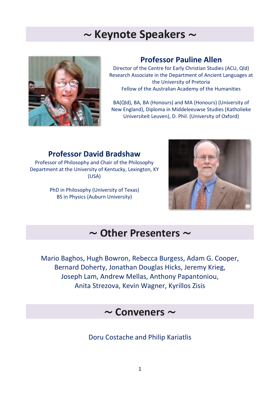## ∼ **Keynote Speakers** ∼



## **Professor Pauline Allen**

Director of the Centre for Early Christian Studies (ACU, Qld) Research Associate in the Department of Ancient Languages at the University of Pretoria Fellow of the Australian Academy of the Humanities

BA(Qld), BA, BA (Honours) and MA (Honours) (University of New England), Diploma in Middeleeuwse Studies (Katholieke Universiteit Leuven), D. Phil. (University of Oxford)

## **Professor David Bradshaw**

Professor of Philosophy and Chair of the Philosophy Department at the University of Kentucky, Lexington, KY (USA)

> PhD in Philosophy (University of Texas) BS in Physics (Auburn University)



## ∼ **Other Presenters** ∼

Mario Baghos, Hugh Bowron, Rebecca Burgess, Adam G. Cooper, Bernard Doherty, Jonathan Douglas Hicks, Jeremy Krieg, Joseph Lam, Andrew Mellas, Anthony Papantoniou, Anita Strezova, Kevin Wagner, Kyrillos Zisis

## ∼ **Conveners** ∼

Doru Costache and Philip Kariatlis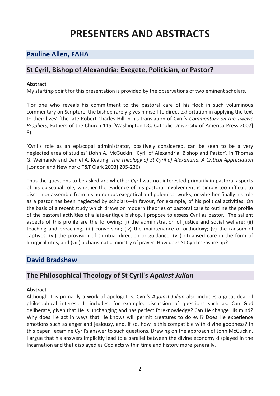## **PRESENTERS AND ABSTRACTS**

## **[Pauline](http://acwr.edu.au/fellows/research-fellows/glen-obrien) Allen, FAHA**

### **St Cyril, Bishop of Alexandria: Exegete, Politician, or Pastor?**

#### **Abstract**

My starting-point for this presentation is provided by the observations of two eminent scholars.

'For one who reveals his commitment to the pastoral care of his flock in such voluminous commentary on Scripture, the bishop rarely gives himself to direct exhortation in applying the text to their lives' (the late Robert Charles Hill in his translation of Cyril's *Commentary on the Twelve Prophets*, Fathers of the Church 115 [Washington DC: Catholic University of America Press 2007] 8).

'Cyril's role as an episcopal administrator, positively considered, can be seen to be a very neglected area of studies' (John A. McGuckin, 'Cyril of Alexandria. Bishop and Pastor', in Thomas G. Weinandy and Daniel A. Keating, *The Theology of St Cyril of Alexandria. A Critical Appreciation* [London and New York: T&T Clark 2003] 205-236).

Thus the questions to be asked are whether Cyril was not interested primarily in pastoral aspects of his episcopal role, whether the evidence of his pastoral involvement is simply too difficult to discern or assemble from his numerous exegetical and polemical works, or whether finally his role as a pastor has been neglected by scholars—in favour, for example, of his political activities. On the basis of a recent study which draws on modern theories of pastoral care to outline the profile of the pastoral activities of a late-antique bishop, I propose to assess Cyril as pastor. The salient aspects of this profile are the following: (i) the administration of justice and social welfare; (ii) teaching and preaching; (iii) conversion; (iv) the maintenance of orthodoxy; (v) the ransom of captives; (vi) the provision of spiritual direction or guidance; (vii) ritualised care in the form of liturgical rites; and (viii) a charismatic ministry of prayer. How does St Cyril measure up?

#### **David Bradshaw**

#### **The Philosophical Theology of St Cyril's** *Against Julian*

#### **Abstract**

Although it is primarily a work of apologetics, Cyril's *Against Julian* also includes a great deal of philosophical interest. It includes, for example, discussion of questions such as: Can God deliberate, given that He is unchanging and has perfect foreknowledge? Can He change His mind? Why does He act in ways that He knows will permit creatures to do evil? Does He experience emotions such as anger and jealousy, and, if so, how is this compatible with divine goodness? In this paper I examine Cyril's answer to such questions. Drawing on the approach of John McGuckin, I argue that his answers implicitly lead to a parallel between the divine economy displayed in the Incarnation and that displayed as God acts within time and history more generally.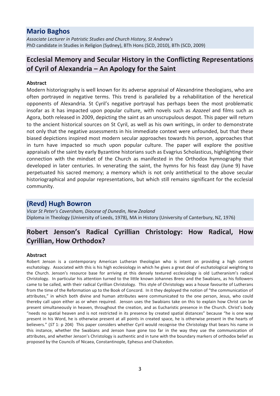#### **Mario Baghos**

*Associate Lecturer in Patristic Studies and Church History, St Andrew's* PhD candidate in Studies in Religion (Sydney), BTh Hons (SCD, 2010), BTh (SCD, 2009)

## **Ecclesial Memory and Secular History in the Conflicting Representations of Cyril of Alexandria – An Apology for the Saint**

#### **Abstract**

Modern historiography is well known for its adverse appraisal of Alexandrine theologians, who are often portrayed in negative terms. This trend is paralleled by a rehabilitation of the heretical opponents of Alexandria. St Cyril's negative portrayal has perhaps been the most problematic insofar as it has impacted upon popular culture, with novels such as *Azazeel* and films such as Agora, both released in 2009, depicting the saint as an unscrupulous despot. This paper will return to the ancient historical sources on St Cyril, as well as his own writings, in order to demonstrate not only that the negative assessments in his immediate context were unfounded, but that these biased depictions inspired most modern secular approaches towards his person, approaches that in turn have impacted so much upon popular culture. The paper will explore the positive appraisals of the saint by early Byzantine historians such as Evagrius Scholasticus, highlighting their connection with the mindset of the Church as manifested in the Orthodox hymnography that developed in later centuries. In venerating the saint, the hymns for his feast day (June 9) have perpetuated his sacred memory; a memory which is not only antithetical to the above secular historiographical and popular representations, but which still remains significant for the ecclesial community.

#### **(Revd) Hugh Bowron**

*Vicar St Peter's Caversham, Diocese of Dunedin, New Zealand* Diploma in Theology (University of Leeds, 1978), MA in History (University of Canterbury, NZ, 1976)

## **Robert Jenson's Radical Cyrillian Christology: How Radical, How Cyrillian, How Orthodox?**

#### **Abstract**

Robert Jenson is a contemporary American Lutheran theologian who is intent on providing a high content eschatology. Associated with this is his high ecclesiology in which he gives a great deal of eschatological weighting to the Church. Jenson's resource base for arriving at this densely textured ecclesiology is old Lutheranism's radical Christology. In particular his attention turned to the little known Johannes Brenz and the Swabians, as his followers came to be called, with their radical Cyrillian Christology. This style of Christology was a house favourite of Lutherans from the time of the Reformation up to the Book of Concord. In it they deployed the notion of "the communication of attributes," in which both divine and human attributes were communicated to the one person, Jesus, who could thereby call upon either as or when required. Jenson uses the Swabians take on this to explain how Christ can be present simultaneously in heaven, throughout the creation, and as Eucharistic presence in the Church. Christ's body "needs no spatial heaven and is not restricted in its presence by created spatial distances" because "he is one way present in his Word, he is otherwise present at all points in created space, he is otherwise present in the hearts of believers." (*ST* 1: p 204) This paper considers whether Cyril would recognise the Christology that bears his name in this instance, whether the Swabians and Jenson have gone too far in the way they use the communication of attributes, and whether Jenson's Christology is authentic and in tune with the boundary markers of orthodox belief as proposed by the Councils of Nicaea, Constantinople, Ephesus and Chalcedon.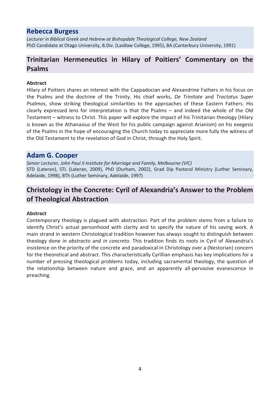#### **Rebecca Burgess**

*Lecturer in Biblical Greek and Hebrew at Bishopdale Theological College, New Zealand* PhD Candidate at Otago University, B.Div. (Laidlaw College, 1995), BA (Canterbury University, 1991)

## **Trinitarian Hermeneutics in Hilary of Poitiers' Commentary on the Psalms**

#### **Abstract**

Hilary of Poitiers shares an interest with the Cappadocian and Alexandrine Fathers in his focus on the Psalms and the doctrine of the Trinity. His chief works, *De Trinitate* and *Tractatus Super Psalmos*, show striking theological similarities to the approaches of these Eastern Fathers. His clearly expressed lens for interpretation is that the Psalms – and indeed the whole of the Old Testament – witness to Christ. This paper will explore the impact of his Trinitarian theology (Hilary is known as the Athanasius of the West for his public campaign against Arianism) on his exegesis of the Psalms in the hope of encouraging the Church today to appreciate more fully the witness of the Old Testament to the revelation of God in Christ, through the Holy Spirit.

#### **Adam G. Cooper**

*Senior Lecturer, John Paul II Institute for Marriage and Family, Melbourne (VIC)* STD (Lateran), STL (Lateran, 2009), PhD (Durham, 2002), Grad Dip Pastoral Ministry (Luther Seminary, Adelaide, 1998), BTh (Luther Seminary, Adelaide, 1997)

## **Christology in the Concrete: Cyril of Alexandria's Answer to the Problem of Theological Abstraction**

#### **Abstract**

Contemporary theology is plagued with abstraction. Part of the problem stems from a failure to identify Christ's actual personhood with clarity and to specify the nature of his saving work. A main strand in western Christological tradition however has always sought to distinguish between theology done *in abstracto* and *in concreto*. This tradition finds its roots in Cyril of Alexandria's insistence on the priority of the concrete and paradoxical in Christology over a (Nestorian) concern for the theoretical and abstract. This characteristically Cyrillian emphasis has key implications for a number of pressing theological problems today, including sacramental theology, the question of the relationship between nature and grace, and an apparently all-pervasive evanescence in preaching.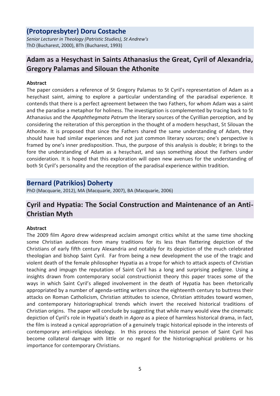## **(Protopresbyter) Doru Costache**

*Senior Lecturer in Theology (Patristic Studies), St Andrew's* ThD (Bucharest, 2000), BTh (Bucharest, 1993)

## **Adam as a Hesychast in Saints Athanasius the Great, Cyril of Alexandria, Gregory Palamas and Silouan the Athonite**

#### **Abstract**

The paper considers a reference of St Gregory Palamas to St Cyril's representation of Adam as a hesychast saint, aiming to explore a particular understanding of the paradisal experience. It contends that there is a perfect agreement between the two Fathers, for whom Adam was a saint and the paradise a metaphor for holiness. The investigation is complemented by tracing back to St Athanasius and the *Apophthegmata Patrum* the literary sources of the Cyrillian perception, and by considering the reiteration of this perception in the thought of a modern hesychast, St Silouan the Athonite. It is proposed that since the Fathers shared the same understanding of Adam, they should have had similar experiences and not just common literary sources; one's perspective is framed by one's inner predisposition. Thus, the purpose of this analysis is double; it brings to the fore the understanding of Adam as a hesychast, and says something about the Fathers under consideration. It is hoped that this exploration will open new avenues for the understanding of both St Cyril's personality and the reception of the paradisal experience within tradition.

#### **Bernard (Patrikios) Doherty**

PhD (Macquarie, 2012), MA (Macquarie, 2007), BA (Macquarie, 2006)

## **Cyril and Hypatia: The Social Construction and Maintenance of an Anti-Christian Myth**

#### **Abstract**

The 2009 film *Agora* drew widespread acclaim amongst critics whilst at the same time shocking some Christian audiences from many traditions for its less than flattering depiction of the Christians of early fifth century Alexandria and notably for its depiction of the much celebrated theologian and bishop Saint Cyril. Far from being a new development the use of the tragic and violent death of the female philosopher Hypatia as a trope for which to attack aspects of Christian teaching and impugn the reputation of Saint Cyril has a long and surprising pedigree. Using a insights drawn from contemporary social constructionist theory this paper traces some of the ways in which Saint Cyril's alleged involvement in the death of Hypatia has been rhetorically appropriated by a number of agenda-setting writers since the eighteenth century to buttress their attacks on Roman Catholicism, Christian attitudes to science, Christian attitudes toward women, and contemporary historiographical trends which invert the received historical traditions of Christian origins. The paper will conclude by suggesting that while many would view the cinematic depiction of Cyril's role in Hypatia's death in *Agora* as a piece of harmless historical drama, in fact, the film is instead a cynical appropriation of a genuinely tragic historical episode in the interests of contemporary anti-religious ideology. In this process the historical person of Saint Cyril has become collateral damage with little or no regard for the historiographical problems or his importance for contemporary Christians.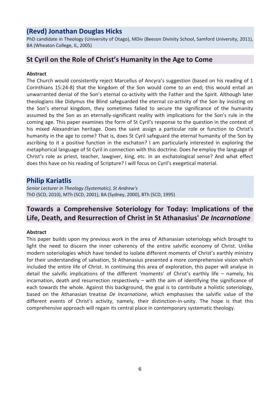## **(Revd) Jonathan Douglas Hicks**

PhD candidate in Theology (University of Otago), MDiv (Beeson Divinity School, Samford University, 2011), BA (Wheaton College, IL, 2005)

## **St Cyril on the Role of Christ's Humanity in the Age to Come**

#### **Abstract**

The Church would consistently reject Marcellus of Ancyra's suggestion (based on his reading of 1 Corinthians 15:24-8) that the kingdom of the Son would come to an end; this would entail an unwarranted denial of the Son's eternal co-activity with the Father and the Spirit. Although later theologians like Didymus the Blind safeguarded the eternal co-activity of the Son by insisting on the Son's eternal kingdom, they sometimes failed to secure the significance of the humanity assumed by the Son as an eternally-significant reality with implications for the Son's rule in the coming age. This paper examines the form of St Cyril's response to the question in the context of his mixed Alexandrian heritage. Does the saint assign a particular role or function to Christ's humanity in the age to come? That is, does St Cyril safeguard the eternal humanity of the Son by ascribing to it a positive function in the eschaton? I am particularly interested in exploring the metaphorical language of St Cyril in connection with this doctrine. Does he employ the language of Christ's role as priest, teacher, lawgiver, king, etc. in an eschatological sense? And what effect does this have on his reading of Scripture? I will focus on Cyril's exegetical material.

#### **Philip Kariatlis**

*Senior Lecturer in Theology (Systematic), St Andrew's* ThD (SCD, 2010), MTh (SCD, 2001), BA (Sydney, 2000), BTh (SCD, 1995)

## **Towards a Comprehensive Soteriology for Today: Implications of the Life, Death, and Resurrection of Christ in St Athanasius'** *De Incarnatione*

#### **Abstract**

This paper builds upon my previous work in the area of Athanasian soteriology which brought to light the need to discern the inner coherency of the entire salvific economy of Christ. Unlike modern soteriologies which have tended to isolate different moments of Christ's earthly ministry for their understanding of salvation, St Athanasius presented a more comprehensive vision which included the entire life of Christ. In continuing this area of exploration, this paper will analyse in detail the salvific implications of the different 'moments' of Christ's earthly life – namely, his incarnation, death and resurrection respectively – with the aim of identifying the significance of each towards the whole. Against this background, the goal is to contribute a holistic soteriology, based on the Athanasian treatise *De Incarnatione*, which emphasises the salvific value of the different events of Christ's activity, namely, their distinction-in-unity. The hope is that this comprehensive approach will regain its central place in contemporary systematic theology.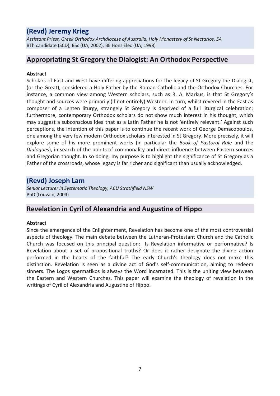## **(Revd) Jeremy Krieg**

*Assistant Priest, Greek Orthodox Archdiocese of Australia, Holy Monastery of St Nectarios, SA* BTh candidate (SCD), BSc (UA, 2002), BE Hons Elec (UA, 1998)

## **Appropriating St Gregory the Dialogist: An Orthodox Perspective**

#### **Abstract**

Scholars of East and West have differing appreciations for the legacy of St Gregory the Dialogist, (or the Great), considered a Holy Father by the Roman Catholic and the Orthodox Churches. For instance, a common view among Western scholars, such as R. A. Markus, is that St Gregory's thought and sources were primarily (if not entirely) Western. In turn, whilst revered in the East as composer of a Lenten liturgy, strangely St Gregory is deprived of a full liturgical celebration; furthermore, contemporary Orthodox scholars do not show much interest in his thought, which may suggest a subconscious idea that as a Latin Father he is not 'entirely relevant.' Against such perceptions, the intention of this paper is to continue the recent work of George Demacopoulos, one among the very few modern Orthodox scholars interested in St Gregory. More precisely, it will explore some of his more prominent works (in particular the *Book of Pastoral Rule* and the *Dialogues*), in search of the points of commonality and direct influence between Eastern sources and Gregorian thought. In so doing, my purpose is to highlight the significance of St Gregory as a Father of the crossroads, whose legacy is far richer and significant than usually acknowledged.

#### **(Revd) Joseph Lam**

*Senior Lecturer in Systematic Theology, ACU Strathfield NSW* PhD (Louvain, 2004)

## **Revelation in Cyril of Alexandria and Augustine of Hippo**

#### **Abstract**

Since the emergence of the Enlightenment, Revelation has become one of the most controversial aspects of theology. The main debate between the Lutheran-Protestant Church and the Catholic Church was focused on this principal question: Is Revelation informative or performative? Is Revelation about a set of propositional truths? Or does it rather designate the divine action performed in the hearts of the faithful? The early Church's theology does not make this distinction. Revelation is seen as a divine act of God's self-communication, aiming to redeem sinners. The Logos spermatikos is always the Word incarnated. This is the uniting view between the Eastern and Western Churches. This paper will examine the theology of revelation in the writings of Cyril of Alexandria and Augustine of Hippo.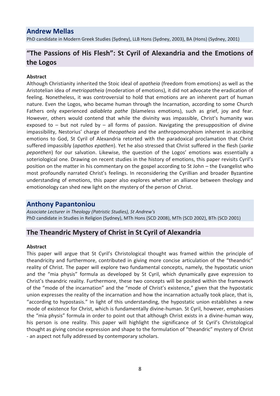### **Andrew Mellas**

PhD candidate in Modern Greek Studies (Sydney), LLB Hons (Sydney, 2003), BA (Hons) (Sydney, 2001)

## **"The Passions of His Flesh": St Cyril of Alexandria and the Emotions of the Logos**

#### **Abstract**

Although Christianity inherited the Stoic ideal of *apatheia* (freedom from emotions) as well as the Aristotelian idea of *metriopatheia* (moderation of emotions), it did not advocate the eradication of feeling. Nonetheless, it was controversial to hold that emotions are an inherent part of human nature. Even the Logos, who became human through the Incarnation, according to some Church Fathers only experienced *adiableta pathe* (blameless emotions), such as grief, joy and fear. However, others would contend that while the divinity was impassible, Christ's humanity was exposed to  $-$  but not ruled by  $-$  all forms of passion. Navigating the presupposition of divine impassibility, Nestorius' charge of *theopatheia* and the anthropomorphism inherent in ascribing emotions to God, St Cyril of Alexandria retorted with the paradoxical proclamation that Christ suffered impassibly (*apathos epathen*). Yet he also stressed that Christ suffered in the flesh (*sarke peponthen*) for our salvation. Likewise, the question of the Logos' emotions was essentially a soteriological one. Drawing on recent studies in the history of emotions, this paper revisits Cyril's position on the matter in his commentary on the gospel according to St John – the Evangelist who most profoundly narrated Christ's feelings. In reconsidering the Cyrillian and broader Byzantine understanding of emotions, this paper also explores whether an alliance between theology and emotionology can shed new light on the mystery of the person of Christ.

#### **Anthony Papantoniou**

*Associate Lecturer in Theology (Patristic Studies), St Andrew's* PhD candidate in Studies in Religion (Sydney), MTh Hons (SCD 2008), MTh (SCD 2002), BTh (SCD 2001)

#### **The Theandric Mystery of Christ in St Cyril of Alexandria**

#### **Abstract**

This paper will argue that St Cyril's Christological thought was framed within the principle of theandricity and furthermore, contributed in giving more concise articulation of the "theandric" reality of Christ. The paper will explore two fundamental concepts, namely, the hypostatic union and the "mia physis" formula as developed by St Cyril, which dynamically gave expression to Christ's theandric reality. Furthermore, these two concepts will be posited within the framework of the "mode of the incarnation" and the "mode of Christ's existence," given that the hypostatic union expresses the reality of the incarnation and how the incarnation actually took place, that is, "according to hypostasis." In light of this understanding, the hypostatic union establishes a new mode of existence for Christ, which is fundamentally divine-human. St Cyril, however, emphasises the "mia physis" formula in order to point out that although Christ exists in a divine-human way, his person is one reality. This paper will highlight the significance of St Cyril's Christological thought as giving concise expression and shape to the formulation of "theandric" mystery of Christ - an aspect not fully addressed by contemporary scholars.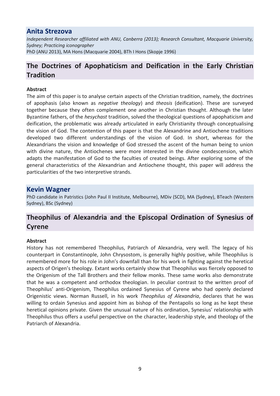#### **Anita Strezova**

*Independent Researcher affiliated with ANU, Canberra (2013); Research Consultant, Macquarie University, Sydney; Practicing iconographer* PhD (ANU 2013), MA Hons (Macquarie 2004), BTh I Hons (Skopje 1996)

## **The Doctrines of Apophaticism and Deification in the Early Christian Tradition**

#### **Abstract**

The aim of this paper is to analyse certain aspects of the Christian tradition, namely, the doctrines of apophasis (also known as *negative theology*) and *theosis* (deification). These are surveyed together because they often complement one another in Christian thought. Although the later Byzantine fathers, of the *hesychast* tradition, solved the theological questions of apophaticism and deification, the problematic was already articulated in early Christianity through conceptualising the vision of God. The contention of this paper is that the Alexandrine and Antiochene traditions developed two different understandings of the vision of God. In short, whereas for the Alexandrians the vision and knowledge of God stressed the ascent of the human being to union with divine nature, the Antiochenes were more interested in the divine condescension, which adapts the manifestation of God to the faculties of created beings. After exploring some of the general characteristics of the Alexandrian and Antiochene thought, this paper will address the particularities of the two interpretive strands.

#### **Kevin Wagner**

PhD candidate in Patristics (John Paul II Institute, Melbourne), MDiv (SCD), MA (Sydney), BTeach (Western Sydney), BSc (Sydney)

## **Theophilus of Alexandria and the Episcopal Ordination of Synesius of Cyrene**

#### **Abstract**

History has not remembered Theophilus, Patriarch of Alexandria, very well. The legacy of his counterpart in Constantinople, John Chrysostom, is generally highly positive, while Theophilus is remembered more for his role in John's downfall than for his work in fighting against the heretical aspects of Origen's theology. Extant works certainly show that Theophilus was fiercely opposed to the Origenism of the Tall Brothers and their fellow monks. These same works also demonstrate that he was a competent and orthodox theologian. In peculiar contrast to the written proof of Theophilus' anti-Origenism, Theophilus ordained Synesius of Cyrene who had openly declared Origenistic views. Norman Russell, in his work *Theophilus of Alexandria*, declares that he was willing to ordain Synesius and appoint him as bishop of the Pentapolis so long as he kept these heretical opinions private. Given the unusual nature of his ordination, Synesius' relationship with Theophilus thus offers a useful perspective on the character, leadership style, and theology of the Patriarch of Alexandria.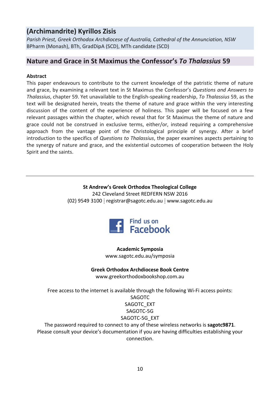## **(Archimandrite) Kyrillos Zisis**

*Parish Priest, Greek Orthodox Archdiocese of Australia, Cathedral of the Annunciation, NSW* BPharm (Monash), BTh, GradDipA (SCD), MTh candidate (SCD)

### **Nature and Grace in St Maximus the Confessor's** *To Thalassius* **59**

#### **Abstract**

This paper endeavours to contribute to the current knowledge of the patristic theme of nature and grace, by examining a relevant text in St Maximus the Confessor's *Questions and Answers to Thalassius*, chapter 59. Yet unavailable to the English-speaking readership, *To Thalassius* 59, as the text will be designated herein, treats the theme of nature and grace within the very interesting discussion of the content of the experience of holiness. This paper will be focused on a few relevant passages within the chapter, which reveal that for St Maximus the theme of nature and grace could not be construed in exclusive terms, either/or, instead requiring a comprehensive approach from the vantage point of the Christological principle of synergy. After a brief introduction to the specifics of *Questions to Thalassius*, the paper examines aspects pertaining to the synergy of nature and grace, and the existential outcomes of cooperation between the Holy Spirit and the saints.

#### **St Andrew's Greek Orthodox Theological College** 242 Cleveland Street REDFERN NSW 2016  $(02)$  9549 3100  $\vdots$  registrar@sagotc.edu.au  $\vdots$  www.sagotc.edu.au



**Academic Symposia** www.sagotc.edu.au/symposia

#### **Greek Orthodox Archdiocese Book Centre**

www.greekorthodoxbookshop.com.au

Free access to the internet is available through the following Wi-Fi access points: SAGOTC SAGOTC\_EXT SAGOTC-5G SAGOTC-5G\_EXT

The password required to connect to any of these wireless networks is **sagotc9871**. Please consult your device's documentation if you are having difficulties establishing your connection.